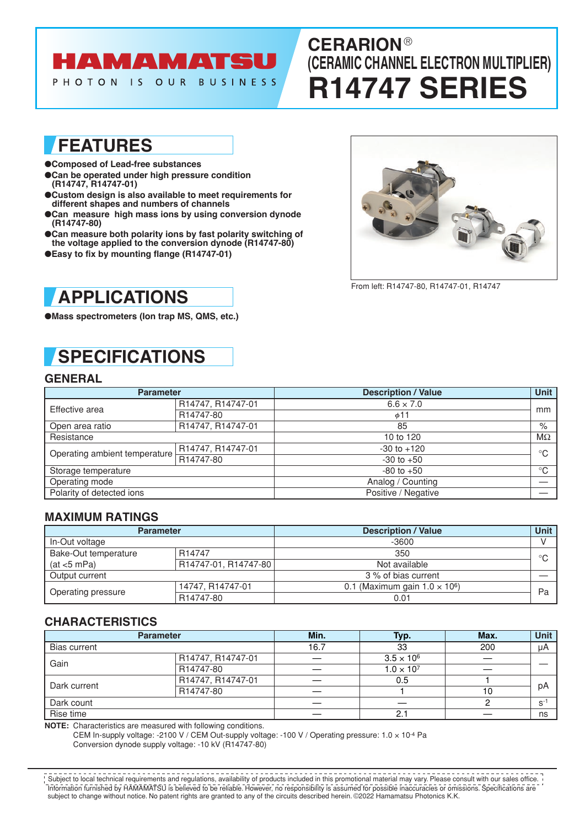# **HAMAMATSU**

PHOTON IS OUR BUSINESS

## **CERARION** ® **(CERAMIC CHANNEL ELECTRON MULTIPLIER) R14747 SERIES**

### **FEATURES**

- ●**Composed of Lead-free substances**
- ●**Can be operated under high pressure condition (R14747, R14747-01)**
- ●**Custom design is also available to meet requirements for different shapes and numbers of channels**
- ●**Can measure high mass ions by using conversion dynode (R14747-80)**
- Can measure both polarity ions by fast polarity switching of **the voltage applied to the conversion dynode (R14747-80)**
- ●**Easy to fix by mounting flange (R14747-01)**



From left: R14747-80, R14747-01, R14747

### **APPLICATIONS**

●**Mass spectrometers (Ion trap MS, QMS, etc.)**

# **SPECIFICATIONS**

### **GENERAL**

| <b>Parameter</b>              |                   | <b>Description / Value</b> |             |  |
|-------------------------------|-------------------|----------------------------|-------------|--|
| Effective area                | R14747, R14747-01 | $6.6 \times 7.0$           | mm          |  |
|                               | R14747-80         | $\phi$ 11                  |             |  |
| Open area ratio               | R14747, R14747-01 | 85                         | %           |  |
| Resistance                    |                   | 10 to 120                  | $M\Omega$   |  |
| Operating ambient temperature | R14747, R14747-01 | $-30$ to $+120$            | $^{\circ}C$ |  |
|                               | R14747-80         | $-30$ to $+50$             |             |  |
| Storage temperature           |                   | $-80$ to $+50$             | $^{\circ}C$ |  |
| Operating mode                |                   | Analog / Counting          |             |  |
| Polarity of detected ions     |                   | Positive / Negative        |             |  |

### **MAXIMUM RATINGS**

| <b>Parameter</b>     |                      | <b>Description / Value</b>            |         |
|----------------------|----------------------|---------------------------------------|---------|
| In-Out voltage       |                      | $-3600$                               |         |
| Bake-Out temperature | R <sub>14747</sub>   | 350                                   | $\circ$ |
| (at < 5 mPa)         | R14747-01, R14747-80 | Not available                         |         |
| Output current       |                      | 3 % of bias current                   |         |
| Operating pressure   | 14747, R14747-01     | 0.1 (Maximum gain $1.0 \times 10^6$ ) | Pa      |
|                      | R14747-80            | 0.01                                  |         |

### **CHARACTERISTICS**

| <b>Parameter</b> |                   | Min. | Typ.                | Max. | <b>Unit</b> |
|------------------|-------------------|------|---------------------|------|-------------|
| Bias current     |                   | 16.7 | 33                  | 200  | μA          |
| Gain             | R14747, R14747-01 |      | $3.5 \times 10^6$   |      |             |
|                  | R14747-80         |      | $1.0 \times 10^{7}$ |      |             |
| Dark current     | R14747, R14747-01 |      | 0.5                 |      | рA          |
|                  | R14747-80         |      |                     | 10   |             |
| Dark count       |                   |      |                     |      | $S^{-1}$    |
| Rise time        |                   |      | 2.                  |      | ns          |

**NOTE:** Characteristics are measured with following conditions.

CEM In-supply voltage: -2100 V / CEM Out-supply voltage: -100 V / Operating pressure: 1.0 × 10-4 Pa Conversion dynode supply voltage: -10 kV (R14747-80)

Information furnished by HAMAMATSU is believed to be reliable. However, no responsibility is assumed for possible inaccuracies or omissions. Specifications are subject to change without notice. No patent rights are granted to any of the circuits described herein. ©2022 Hamamatsu Photonics K.K. Subject to local technical requirements and regulations, availability of products included in this promotional material may vary. Please consult with our sales office.